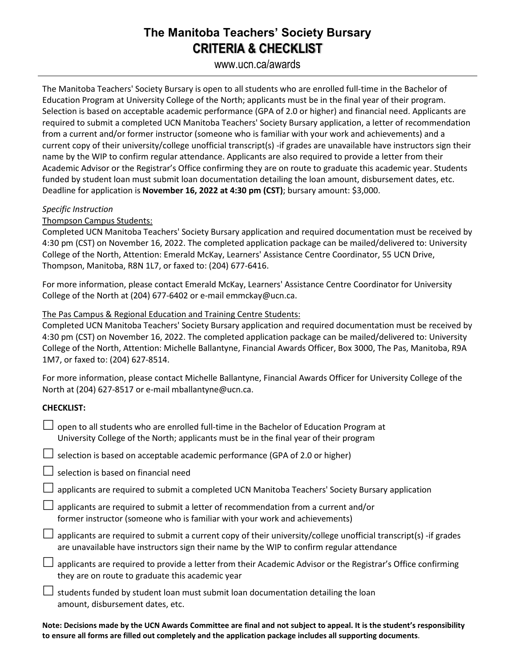# **The Manitoba Teachers' Society Bursary CRITERIA & CHECKLIST**

www.ucn.ca/awards

The Manitoba Teachers' Society Bursary is open to all students who are enrolled full-time in the Bachelor of Education Program at University College of the North; applicants must be in the final year of their program. Selection is based on acceptable academic performance (GPA of 2.0 or higher) and financial need. Applicants are required to submit a completed UCN Manitoba Teachers' Society Bursary application, a letter of recommendation from a current and/or former instructor (someone who is familiar with your work and achievements) and a current copy of their university/college unofficial transcript(s) -if grades are unavailable have instructors sign their name by the WIP to confirm regular attendance. Applicants are also required to provide a letter from their Academic Advisor or the Registrar's Office confirming they are on route to graduate this academic year. Students funded by student loan must submit loan documentation detailing the loan amount, disbursement dates, etc. Deadline for application is **November 16, 2022 at 4:30 pm (CST)**; bursary amount: \$3,000.

## *Specific Instruction*

## Thompson Campus Students:

Completed UCN Manitoba Teachers' Society Bursary application and required documentation must be received by 4:30 pm (CST) on November 16, 2022. The completed application package can be mailed/delivered to: University College of the North, Attention: Emerald McKay, Learners' Assistance Centre Coordinator, 55 UCN Drive, Thompson, Manitoba, R8N 1L7, or faxed to: (204) 677-6416.

For more information, please contact Emerald McKay, Learners' Assistance Centre Coordinator for University College of the North at (204) 677-6402 or e-mail emmckay@ucn.ca.

## The Pas Campus & Regional Education and Training Centre Students:

Completed UCN Manitoba Teachers' Society Bursary application and required documentation must be received by 4:30 pm (CST) on November 16, 2022. The completed application package can be mailed/delivered to: University College of the North, Attention: Michelle Ballantyne, Financial Awards Officer, Box 3000, The Pas, Manitoba, R9A 1M7, or faxed to: (204) 627-8514.

For more information, please contact Michelle Ballantyne, Financial Awards Officer for University College of the North at (204) 627-8517 or e-mail mballantyne@ucn.ca.

#### **CHECKLIST:**

| open to all students who are enrolled full-time in the Bachelor of Education Program at<br>University College of the North; applicants must be in the final year of their program                             |
|---------------------------------------------------------------------------------------------------------------------------------------------------------------------------------------------------------------|
| Selection is based on acceptable academic performance (GPA of 2.0 or higher)                                                                                                                                  |
| $\Box$ selection is based on financial need                                                                                                                                                                   |
| applicants are required to submit a completed UCN Manitoba Teachers' Society Bursary application                                                                                                              |
| $\Box$ applicants are required to submit a letter of recommendation from a current and/or<br>former instructor (someone who is familiar with your work and achievements)                                      |
| applicants are required to submit a current copy of their university/college unofficial transcript(s) -if grades<br>are unavailable have instructors sign their name by the WIP to confirm regular attendance |
| applicants are required to provide a letter from their Academic Advisor or the Registrar's Office confirming<br>they are on route to graduate this academic year                                              |
| students funded by student loan must submit loan documentation detailing the loan<br>amount, disbursement dates, etc.                                                                                         |

**Note: Decisions made by the UCN Awards Committee are final and not subject to appeal. It is the student's responsibility to ensure all forms are filled out completely and the application package includes all supporting documents**.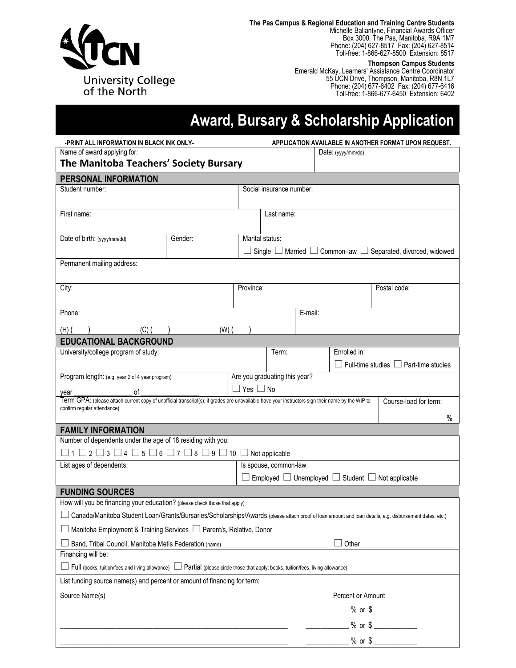

**The Pas Campus & Regional Education and Training Centre Students**

Michelle Ballantyne, Financial Awards Officer Box 3000, The Pas, Manitoba, R9A 1M7 Phone: (204) 627-8517 Fax: (204) 627-8514 Toll-free: 1-866-627-8500 Extension: 8517

**Thompson Campus Students**

Emerald McKay, Learners' Assistance Centre Coordinator 55 UCN Drive, Thompson, Manitoba, R8N 1L7 Phone: (204) 677-6402 Fax: (204) 677-6416 Toll-free: 1-866-677-6450 Extension: 6402

# **Award, Bursary & Scholarship Application**

| -PRINT ALL INFORMATION IN BLACK INK ONLY-                                                                                                                                       |         | APPLICATION AVAILABLE IN ANOTHER FORMAT UPON REQUEST. |                                                                 |                   |              |                                                                                    |  |
|---------------------------------------------------------------------------------------------------------------------------------------------------------------------------------|---------|-------------------------------------------------------|-----------------------------------------------------------------|-------------------|--------------|------------------------------------------------------------------------------------|--|
| Name of award applying for:                                                                                                                                                     |         |                                                       | Date: (yyyy/mm/dd)                                              |                   |              |                                                                                    |  |
| The Manitoba Teachers' Society Bursary                                                                                                                                          |         |                                                       |                                                                 |                   |              |                                                                                    |  |
| PERSONAL INFORMATION                                                                                                                                                            |         |                                                       |                                                                 |                   |              |                                                                                    |  |
| Student number:                                                                                                                                                                 |         |                                                       | Social insurance number:                                        |                   |              |                                                                                    |  |
|                                                                                                                                                                                 |         |                                                       |                                                                 |                   |              |                                                                                    |  |
| First name:                                                                                                                                                                     |         |                                                       | Last name:                                                      |                   |              |                                                                                    |  |
|                                                                                                                                                                                 |         |                                                       |                                                                 |                   |              |                                                                                    |  |
| Date of birth: (yyyy/mm/dd)                                                                                                                                                     | Gender: |                                                       | Marital status:                                                 |                   |              |                                                                                    |  |
|                                                                                                                                                                                 |         |                                                       |                                                                 |                   |              | $\Box$ Single $\Box$ Married $\Box$ Common-law $\Box$ Separated, divorced, widowed |  |
| Permanent mailing address:                                                                                                                                                      |         |                                                       |                                                                 |                   |              |                                                                                    |  |
|                                                                                                                                                                                 |         |                                                       |                                                                 |                   |              |                                                                                    |  |
| City:                                                                                                                                                                           |         |                                                       | Province:                                                       |                   |              | Postal code:                                                                       |  |
|                                                                                                                                                                                 |         |                                                       |                                                                 |                   |              |                                                                                    |  |
| Phone:                                                                                                                                                                          |         |                                                       |                                                                 | E-mail:           |              |                                                                                    |  |
| $(H)$ (<br>(C) (                                                                                                                                                                | $(W)$ ( |                                                       |                                                                 |                   |              |                                                                                    |  |
| <b>EDUCATIONAL BACKGROUND</b>                                                                                                                                                   |         |                                                       |                                                                 |                   |              |                                                                                    |  |
| University/college program of study:                                                                                                                                            |         |                                                       | Term:                                                           |                   | Enrolled in: |                                                                                    |  |
|                                                                                                                                                                                 |         |                                                       |                                                                 |                   |              | $\Box$ Full-time studies $\Box$ Part-time studies                                  |  |
| Program length: (e.g. year 2 of 4 year program)                                                                                                                                 |         |                                                       | Are you graduating this year?                                   |                   |              |                                                                                    |  |
| of<br>vear                                                                                                                                                                      |         | $\Box$ Yes $\Box$ No                                  |                                                                 |                   |              |                                                                                    |  |
| Term GPA: (please attach current copy of unofficial transcript(s); if grades are unavailable have your instructors sign their name by the WIP to<br>confirm regular attendance) |         |                                                       |                                                                 |                   |              | Course-load for term:                                                              |  |
|                                                                                                                                                                                 |         |                                                       |                                                                 |                   |              | %                                                                                  |  |
| <b>FAMILY INFORMATION</b>                                                                                                                                                       |         |                                                       |                                                                 |                   |              |                                                                                    |  |
| Number of dependents under the age of 18 residing with you:                                                                                                                     |         |                                                       |                                                                 |                   |              |                                                                                    |  |
| $\Box$ 1 $\Box$ 2 $\Box$ 3 $\Box$ 4 $\Box$ 5 $\Box$ 6 $\Box$ 7 $\Box$ 8 $\Box$ 9 $\Box$ 10 $\Box$ Not applicable                                                                |         |                                                       |                                                                 |                   |              |                                                                                    |  |
| List ages of dependents:                                                                                                                                                        |         |                                                       | Is spouse, common-law:                                          |                   |              |                                                                                    |  |
|                                                                                                                                                                                 |         |                                                       | Employed $\Box$ Unemployed $\Box$ Student $\Box$ Not applicable |                   |              |                                                                                    |  |
| <b>FUNDING SOURCES</b>                                                                                                                                                          |         |                                                       |                                                                 |                   |              |                                                                                    |  |
| How will you be financing your education? (please check those that apply)                                                                                                       |         |                                                       |                                                                 |                   |              |                                                                                    |  |
| Canada/Manitoba Student Loan/Grants/Bursaries/Scholarships/Awards (please attach proof of loan amount and loan details, e.g. disbursement dates, etc.)                          |         |                                                       |                                                                 |                   |              |                                                                                    |  |
| Manitoba Employment & Training Services □ Parent/s, Relative, Donor                                                                                                             |         |                                                       |                                                                 |                   |              |                                                                                    |  |
| Band, Tribal Council, Manitoba Metis Federation (name) _________________________                                                                                                |         |                                                       |                                                                 |                   | Other_       |                                                                                    |  |
| Financing will be:                                                                                                                                                              |         |                                                       |                                                                 |                   |              |                                                                                    |  |
| Full (books, tuition/fees and living allowance)<br>Partial (please circle those that apply: books, tuition/fees, living allowance)                                              |         |                                                       |                                                                 |                   |              |                                                                                    |  |
| List funding source name(s) and percent or amount of financing for term:                                                                                                        |         |                                                       |                                                                 |                   |              |                                                                                    |  |
| Source Name(s)                                                                                                                                                                  |         |                                                       |                                                                 | Percent or Amount |              |                                                                                    |  |
|                                                                                                                                                                                 |         |                                                       |                                                                 |                   |              | __________ % or \$ _____________                                                   |  |
|                                                                                                                                                                                 |         |                                                       |                                                                 |                   |              | $%$ or $\frac{6}{100}$                                                             |  |
|                                                                                                                                                                                 |         |                                                       |                                                                 |                   |              |                                                                                    |  |
|                                                                                                                                                                                 |         |                                                       |                                                                 |                   |              |                                                                                    |  |